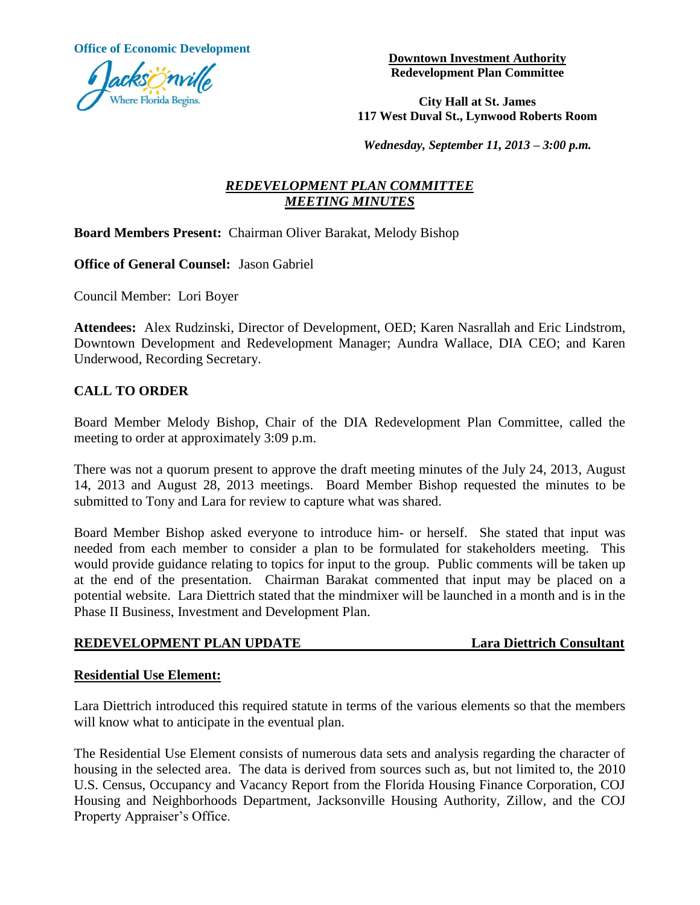**Office of Economic Development**



**Downtown Investment Authority Redevelopment Plan Committee**

**City Hall at St. James 117 West Duval St., Lynwood Roberts Room**

*Wednesday, September 11, 2013 – 3:00 p.m.*

# *REDEVELOPMENT PLAN COMMITTEE MEETING MINUTES*

## **Board Members Present:** Chairman Oliver Barakat, Melody Bishop

**Office of General Counsel:** Jason Gabriel

Council Member: Lori Boyer

**Attendees:** Alex Rudzinski, Director of Development, OED; Karen Nasrallah and Eric Lindstrom, Downtown Development and Redevelopment Manager; Aundra Wallace, DIA CEO; and Karen Underwood, Recording Secretary.

# **CALL TO ORDER**

Board Member Melody Bishop, Chair of the DIA Redevelopment Plan Committee, called the meeting to order at approximately 3:09 p.m.

There was not a quorum present to approve the draft meeting minutes of the July 24, 2013, August 14, 2013 and August 28, 2013 meetings. Board Member Bishop requested the minutes to be submitted to Tony and Lara for review to capture what was shared.

Board Member Bishop asked everyone to introduce him- or herself. She stated that input was needed from each member to consider a plan to be formulated for stakeholders meeting. This would provide guidance relating to topics for input to the group. Public comments will be taken up at the end of the presentation. Chairman Barakat commented that input may be placed on a potential website. Lara Diettrich stated that the mindmixer will be launched in a month and is in the Phase II Business, Investment and Development Plan.

### **REDEVELOPMENT PLAN UPDATE Lara Diettrich Consultant**

## **Residential Use Element:**

Lara Diettrich introduced this required statute in terms of the various elements so that the members will know what to anticipate in the eventual plan.

The Residential Use Element consists of numerous data sets and analysis regarding the character of housing in the selected area. The data is derived from sources such as, but not limited to, the 2010 U.S. Census, Occupancy and Vacancy Report from the Florida Housing Finance Corporation, COJ Housing and Neighborhoods Department, Jacksonville Housing Authority, Zillow, and the COJ Property Appraiser's Office.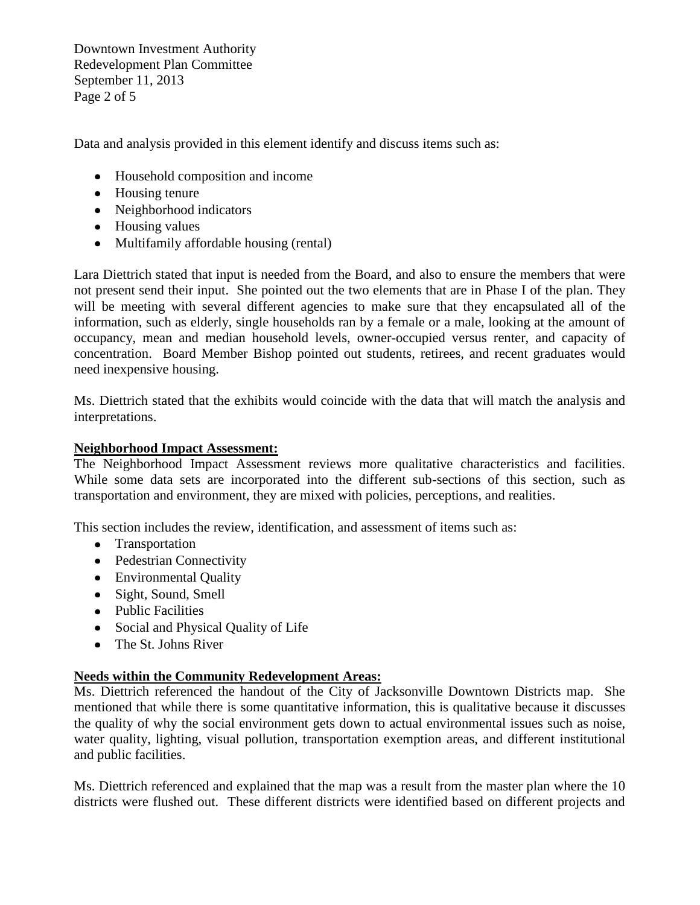Downtown Investment Authority Redevelopment Plan Committee September 11, 2013 Page 2 of 5

Data and analysis provided in this element identify and discuss items such as:

- Household composition and income
- Housing tenure
- Neighborhood indicators
- Housing values
- Multifamily affordable housing (rental)

Lara Diettrich stated that input is needed from the Board, and also to ensure the members that were not present send their input. She pointed out the two elements that are in Phase I of the plan. They will be meeting with several different agencies to make sure that they encapsulated all of the information, such as elderly, single households ran by a female or a male, looking at the amount of occupancy, mean and median household levels, owner-occupied versus renter, and capacity of concentration. Board Member Bishop pointed out students, retirees, and recent graduates would need inexpensive housing.

Ms. Diettrich stated that the exhibits would coincide with the data that will match the analysis and interpretations.

#### **Neighborhood Impact Assessment:**

The Neighborhood Impact Assessment reviews more qualitative characteristics and facilities. While some data sets are incorporated into the different sub-sections of this section, such as transportation and environment, they are mixed with policies, perceptions, and realities.

This section includes the review, identification, and assessment of items such as:

- Transportation
- Pedestrian Connectivity
- Environmental Quality
- Sight, Sound, Smell
- Public Facilities
- Social and Physical Quality of Life
- The St. Johns River

### **Needs within the Community Redevelopment Areas:**

Ms. Diettrich referenced the handout of the City of Jacksonville Downtown Districts map. She mentioned that while there is some quantitative information, this is qualitative because it discusses the quality of why the social environment gets down to actual environmental issues such as noise, water quality, lighting, visual pollution, transportation exemption areas, and different institutional and public facilities.

Ms. Diettrich referenced and explained that the map was a result from the master plan where the 10 districts were flushed out. These different districts were identified based on different projects and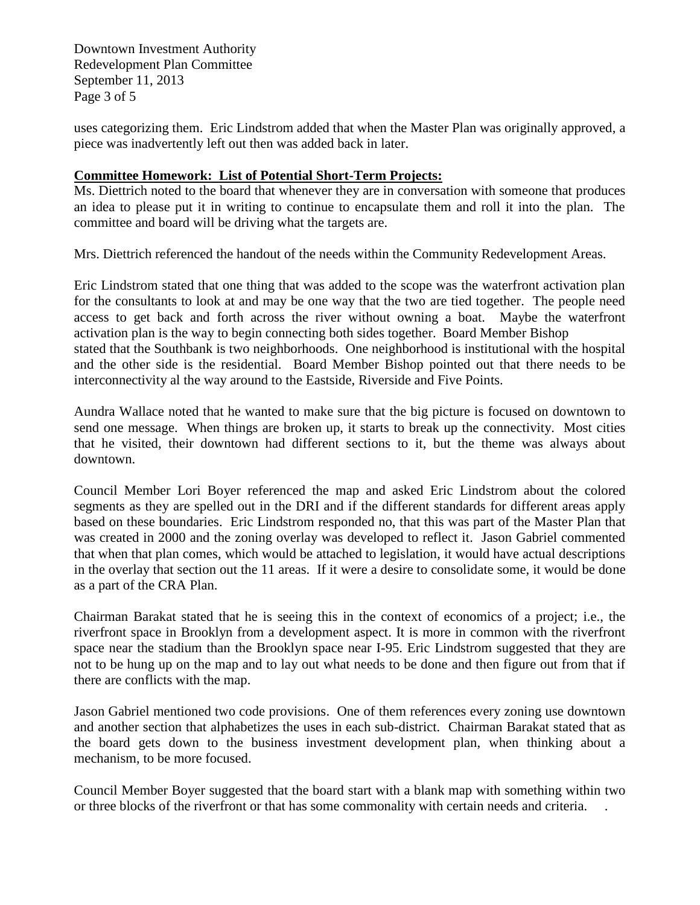Downtown Investment Authority Redevelopment Plan Committee September 11, 2013 Page 3 of 5

uses categorizing them. Eric Lindstrom added that when the Master Plan was originally approved, a piece was inadvertently left out then was added back in later.

### **Committee Homework: List of Potential Short-Term Projects:**

Ms. Diettrich noted to the board that whenever they are in conversation with someone that produces an idea to please put it in writing to continue to encapsulate them and roll it into the plan. The committee and board will be driving what the targets are.

Mrs. Diettrich referenced the handout of the needs within the Community Redevelopment Areas.

Eric Lindstrom stated that one thing that was added to the scope was the waterfront activation plan for the consultants to look at and may be one way that the two are tied together. The people need access to get back and forth across the river without owning a boat. Maybe the waterfront activation plan is the way to begin connecting both sides together. Board Member Bishop stated that the Southbank is two neighborhoods. One neighborhood is institutional with the hospital and the other side is the residential. Board Member Bishop pointed out that there needs to be interconnectivity al the way around to the Eastside, Riverside and Five Points.

Aundra Wallace noted that he wanted to make sure that the big picture is focused on downtown to send one message. When things are broken up, it starts to break up the connectivity. Most cities that he visited, their downtown had different sections to it, but the theme was always about downtown.

Council Member Lori Boyer referenced the map and asked Eric Lindstrom about the colored segments as they are spelled out in the DRI and if the different standards for different areas apply based on these boundaries. Eric Lindstrom responded no, that this was part of the Master Plan that was created in 2000 and the zoning overlay was developed to reflect it. Jason Gabriel commented that when that plan comes, which would be attached to legislation, it would have actual descriptions in the overlay that section out the 11 areas. If it were a desire to consolidate some, it would be done as a part of the CRA Plan.

Chairman Barakat stated that he is seeing this in the context of economics of a project; i.e., the riverfront space in Brooklyn from a development aspect. It is more in common with the riverfront space near the stadium than the Brooklyn space near I-95. Eric Lindstrom suggested that they are not to be hung up on the map and to lay out what needs to be done and then figure out from that if there are conflicts with the map.

Jason Gabriel mentioned two code provisions. One of them references every zoning use downtown and another section that alphabetizes the uses in each sub-district. Chairman Barakat stated that as the board gets down to the business investment development plan, when thinking about a mechanism, to be more focused.

Council Member Boyer suggested that the board start with a blank map with something within two or three blocks of the riverfront or that has some commonality with certain needs and criteria. .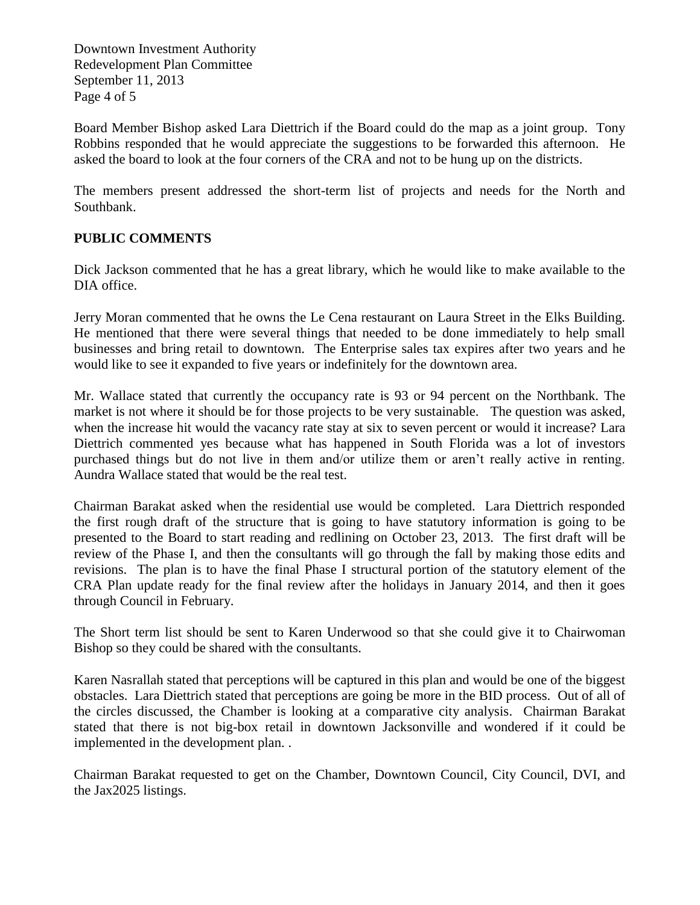Downtown Investment Authority Redevelopment Plan Committee September 11, 2013 Page 4 of 5

Board Member Bishop asked Lara Diettrich if the Board could do the map as a joint group. Tony Robbins responded that he would appreciate the suggestions to be forwarded this afternoon. He asked the board to look at the four corners of the CRA and not to be hung up on the districts.

The members present addressed the short-term list of projects and needs for the North and Southbank.

# **PUBLIC COMMENTS**

Dick Jackson commented that he has a great library, which he would like to make available to the DIA office.

Jerry Moran commented that he owns the Le Cena restaurant on Laura Street in the Elks Building. He mentioned that there were several things that needed to be done immediately to help small businesses and bring retail to downtown. The Enterprise sales tax expires after two years and he would like to see it expanded to five years or indefinitely for the downtown area.

Mr. Wallace stated that currently the occupancy rate is 93 or 94 percent on the Northbank. The market is not where it should be for those projects to be very sustainable. The question was asked, when the increase hit would the vacancy rate stay at six to seven percent or would it increase? Lara Diettrich commented yes because what has happened in South Florida was a lot of investors purchased things but do not live in them and/or utilize them or aren't really active in renting. Aundra Wallace stated that would be the real test.

Chairman Barakat asked when the residential use would be completed. Lara Diettrich responded the first rough draft of the structure that is going to have statutory information is going to be presented to the Board to start reading and redlining on October 23, 2013. The first draft will be review of the Phase I, and then the consultants will go through the fall by making those edits and revisions. The plan is to have the final Phase I structural portion of the statutory element of the CRA Plan update ready for the final review after the holidays in January 2014, and then it goes through Council in February.

The Short term list should be sent to Karen Underwood so that she could give it to Chairwoman Bishop so they could be shared with the consultants.

Karen Nasrallah stated that perceptions will be captured in this plan and would be one of the biggest obstacles. Lara Diettrich stated that perceptions are going be more in the BID process. Out of all of the circles discussed, the Chamber is looking at a comparative city analysis. Chairman Barakat stated that there is not big-box retail in downtown Jacksonville and wondered if it could be implemented in the development plan. .

Chairman Barakat requested to get on the Chamber, Downtown Council, City Council, DVI, and the Jax2025 listings.